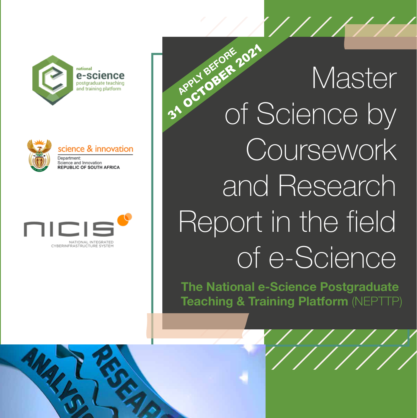





# Master of Science by Coursework and Research Report in the field of e-Science **BRPLY BEFORE 2021**

**The National e-Science Postgraduate Teaching & Training Platform** (NEPTTP)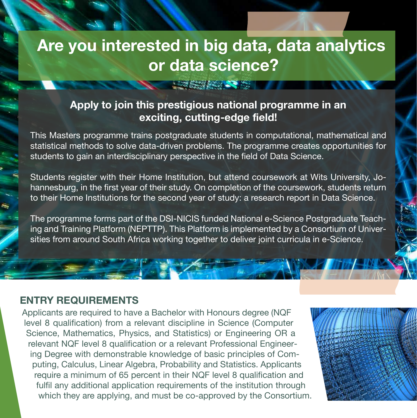# **Are you interested in big data, data analytics or data science?**

**123 美好不好的** 

## **Apply to join this prestigious national programme in an exciting, cutting-edge field!**

This Masters programme trains postgraduate students in computational, mathematical and statistical methods to solve data-driven problems. The programme creates opportunities for students to gain an interdisciplinary perspective in the field of Data Science.

Students register with their Home Institution, but attend coursework at Wits University, Johannesburg, in the first year of their study. On completion of the coursework, students return to their Home Institutions for the second year of study: a research report in Data Science.

The programme forms part of the DSI-NICIS funded National e-Science Postgraduate Teaching and Training Platform (NEPTTP). This Platform is implemented by a Consortium of Universities from around South Africa working together to deliver joint curricula in e-Science.

### **ENTRY REQUIREMENTS**

Applicants are required to have a Bachelor with Honours degree (NQF level 8 qualification) from a relevant discipline in Science (Computer Science, Mathematics, Physics, and Statistics) or Engineering OR a relevant NQF level 8 qualification or a relevant Professional Engineering Degree with demonstrable knowledge of basic principles of Computing, Calculus, Linear Algebra, Probability and Statistics. Applicants require a minimum of 65 percent in their NQF level 8 qualification and fulfil any additional application requirements of the institution through which they are applying, and must be co-approved by the Consortium.